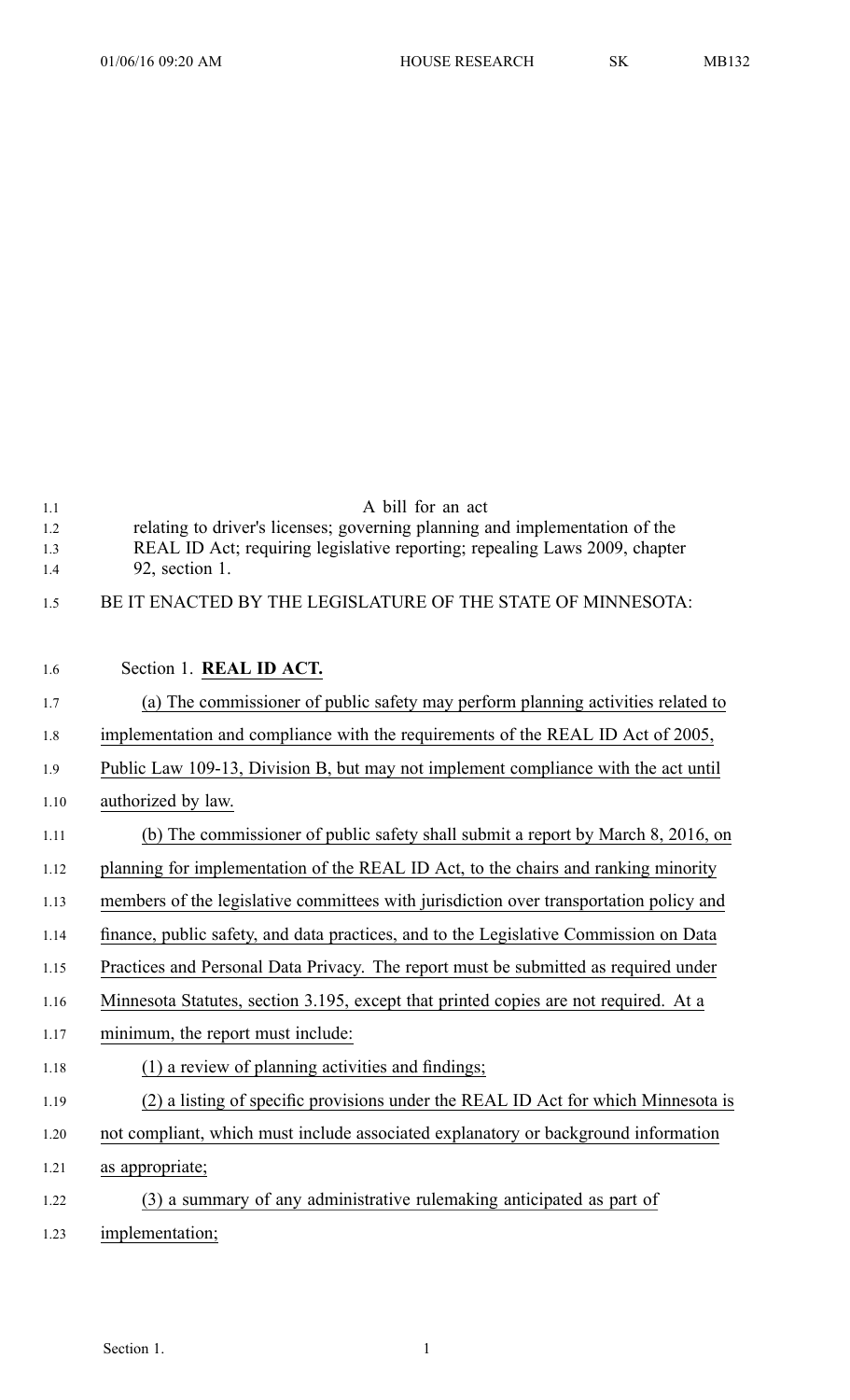| 1.1<br>1.2<br>1.3<br>1.4 | A bill for an act<br>relating to driver's licenses; governing planning and implementation of the<br>REAL ID Act; requiring legislative reporting; repealing Laws 2009, chapter<br>92, section 1. |
|--------------------------|--------------------------------------------------------------------------------------------------------------------------------------------------------------------------------------------------|
| 1.5                      | BE IT ENACTED BY THE LEGISLATURE OF THE STATE OF MINNESOTA:                                                                                                                                      |
|                          |                                                                                                                                                                                                  |
| 1.6                      | Section 1. REAL ID ACT.                                                                                                                                                                          |
| 1.7                      | (a) The commissioner of public safety may perform planning activities related to                                                                                                                 |
| 1.8                      | implementation and compliance with the requirements of the REAL ID Act of 2005,                                                                                                                  |
| 1.9                      | Public Law 109-13, Division B, but may not implement compliance with the act until                                                                                                               |
| 1.10                     | authorized by law.                                                                                                                                                                               |
| 1.11                     | (b) The commissioner of public safety shall submit a report by March 8, 2016, on                                                                                                                 |
| 1.12                     | planning for implementation of the REAL ID Act, to the chairs and ranking minority                                                                                                               |
| 1.13                     | members of the legislative committees with jurisdiction over transportation policy and                                                                                                           |
| 1.14                     | finance, public safety, and data practices, and to the Legislative Commission on Data                                                                                                            |
| 1.15                     | Practices and Personal Data Privacy. The report must be submitted as required under                                                                                                              |
| 1.16                     | Minnesota Statutes, section 3.195, except that printed copies are not required. At a                                                                                                             |
| 1.17                     | minimum, the report must include:                                                                                                                                                                |
| 1.18                     | (1) a review of planning activities and findings;                                                                                                                                                |
| 1.19                     | (2) a listing of specific provisions under the REAL ID Act for which Minnesota is                                                                                                                |
| 1.20                     | not compliant, which must include associated explanatory or background information                                                                                                               |
| 1.21                     | as appropriate;                                                                                                                                                                                  |
| 1.22                     | (3) a summary of any administrative rulemaking anticipated as part of                                                                                                                            |
| 1.23                     | implementation;                                                                                                                                                                                  |